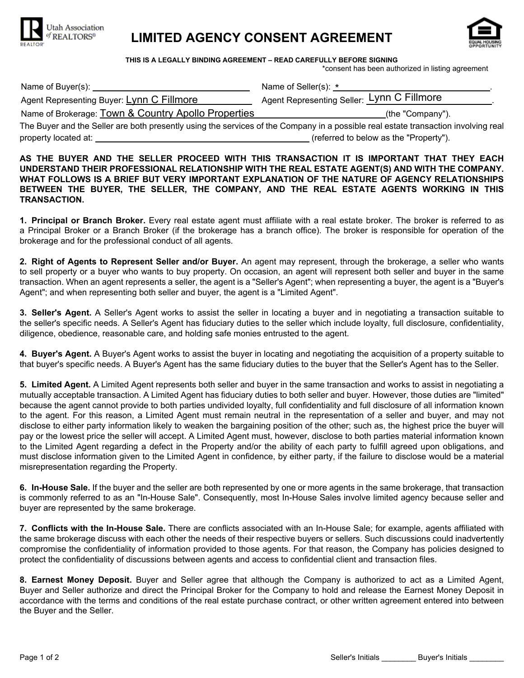

## **LIMITED AGENCY CONSENT AGREEMENT**



**THIS IS A LEGALLY BINDING AGREEMENT – READ CAREFULLY BEFORE SIGNING**

\*consent has been authorized in listing agreement

| Name of Buyer(s): ____                              | Name of Seller(s): *                                                                                                               |
|-----------------------------------------------------|------------------------------------------------------------------------------------------------------------------------------------|
| Agent Representing Buyer: Lynn C Fillmore           | Agent Representing Seller: Lynn C Fillmore                                                                                         |
| Name of Brokerage: Town & Country Apollo Properties | (the "Company").                                                                                                                   |
|                                                     | The Buyer and the Seller are both presently using the services of the Company in a possible real estate transaction involving real |
| property located at:                                | (referred to below as the "Property").                                                                                             |

**AS THE BUYER AND THE SELLER PROCEED WITH THIS TRANSACTION IT IS IMPORTANT THAT THEY EACH UNDERSTAND THEIR PROFESSIONAL RELATIONSHIP WITH THE REAL ESTATE AGENT(S) AND WITH THE COMPANY. WHAT FOLLOWS IS A BRIEF BUT VERY IMPORTANT EXPLANATION OF THE NATURE OF AGENCY RELATIONSHIPS BETWEEN THE BUYER, THE SELLER, THE COMPANY, AND THE REAL ESTATE AGENTS WORKING IN THIS TRANSACTION.**

**1. Principal or Branch Broker.** Every real estate agent must affiliate with a real estate broker. The broker is referred to as a Principal Broker or a Branch Broker (if the brokerage has a branch office). The broker is responsible for operation of the brokerage and for the professional conduct of all agents.

**2. Right of Agents to Represent Seller and/or Buyer.** An agent may represent, through the brokerage, a seller who wants to sell property or a buyer who wants to buy property. On occasion, an agent will represent both seller and buyer in the same transaction. When an agent represents a seller, the agent is a "Seller's Agent"; when representing a buyer, the agent is a "Buyer's Agent"; and when representing both seller and buyer, the agent is a "Limited Agent".

**3. Seller's Agent.** A Seller's Agent works to assist the seller in locating a buyer and in negotiating a transaction suitable to the seller's specific needs. A Seller's Agent has fiduciary duties to the seller which include loyalty, full disclosure, confidentiality, diligence, obedience, reasonable care, and holding safe monies entrusted to the agent.

**4. Buyer's Agent.** A Buyer's Agent works to assist the buyer in locating and negotiating the acquisition of a property suitable to that buyer's specific needs. A Buyer's Agent has the same fiduciary duties to the buyer that the Seller's Agent has to the Seller.

**5. Limited Agent.** A Limited Agent represents both seller and buyer in the same transaction and works to assist in negotiating a mutually acceptable transaction. A Limited Agent has fiduciary duties to both seller and buyer. However, those duties are "limited" because the agent cannot provide to both parties undivided loyalty, full confidentiality and full disclosure of all information known to the agent. For this reason, a Limited Agent must remain neutral in the representation of a seller and buyer, and may not disclose to either party information likely to weaken the bargaining position of the other; such as, the highest price the buyer will pay or the lowest price the seller will accept. A Limited Agent must, however, disclose to both parties material information known to the Limited Agent regarding a defect in the Property and/or the ability of each party to fulfill agreed upon obligations, and must disclose information given to the Limited Agent in confidence, by either party, if the failure to disclose would be a material misrepresentation regarding the Property.

**6. In-House Sale.** If the buyer and the seller are both represented by one or more agents in the same brokerage, that transaction is commonly referred to as an "In-House Sale". Consequently, most In-House Sales involve limited agency because seller and buyer are represented by the same brokerage.

**7. Conflicts with the In-House Sale.** There are conflicts associated with an In-House Sale; for example, agents affiliated with the same brokerage discuss with each other the needs of their respective buyers or sellers. Such discussions could inadvertently compromise the confidentiality of information provided to those agents. For that reason, the Company has policies designed to protect the confidentiality of discussions between agents and access to confidential client and transaction files.

**8. Earnest Money Deposit.** Buyer and Seller agree that although the Company is authorized to act as a Limited Agent, Buyer and Seller authorize and direct the Principal Broker for the Company to hold and release the Earnest Money Deposit in accordance with the terms and conditions of the real estate purchase contract, or other written agreement entered into between the Buyer and the Seller.